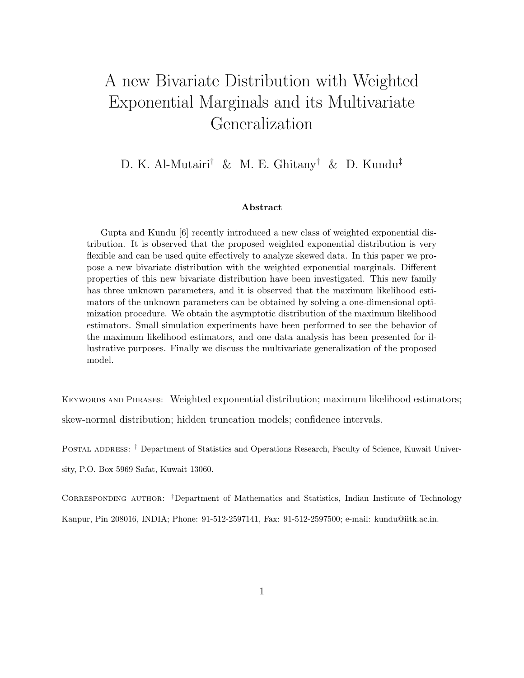# A new Bivariate Distribution with Weighted Exponential Marginals and its Multivariate Generalization

D. K. Al-Mutairi† & M. E. Ghitany † & D. Kundu‡

#### Abstract

Gupta and Kundu [6] recently introduced a new class of weighted exponential distribution. It is observed that the proposed weighted exponential distribution is very flexible and can be used quite effectively to analyze skewed data. In this paper we propose a new bivariate distribution with the weighted exponential marginals. Different properties of this new bivariate distribution have been investigated. This new family has three unknown parameters, and it is observed that the maximum likelihood estimators of the unknown parameters can be obtained by solving a one-dimensional optimization procedure. We obtain the asymptotic distribution of the maximum likelihood estimators. Small simulation experiments have been performed to see the behavior of the maximum likelihood estimators, and one data analysis has been presented for illustrative purposes. Finally we discuss the multivariate generalization of the proposed model.

KEYWORDS AND PHRASES: Weighted exponential distribution; maximum likelihood estimators; skew-normal distribution; hidden truncation models; confidence intervals.

Postal address: † Department of Statistics and Operations Research, Faculty of Science, Kuwait University, P.O. Box 5969 Safat, Kuwait 13060.

Corresponding author: ‡Department of Mathematics and Statistics, Indian Institute of Technology Kanpur, Pin 208016, INDIA; Phone: 91-512-2597141, Fax: 91-512-2597500; e-mail: kundu@iitk.ac.in.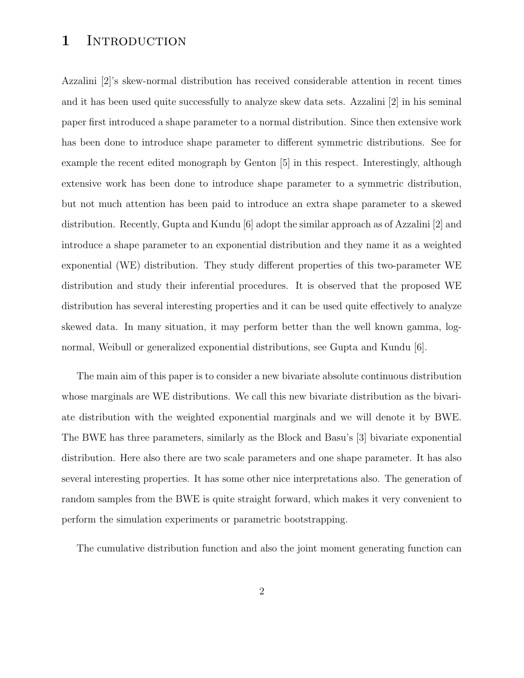### 1 INTRODUCTION

Azzalini [2]'s skew-normal distribution has received considerable attention in recent times and it has been used quite successfully to analyze skew data sets. Azzalini [2] in his seminal paper first introduced a shape parameter to a normal distribution. Since then extensive work has been done to introduce shape parameter to different symmetric distributions. See for example the recent edited monograph by Genton [5] in this respect. Interestingly, although extensive work has been done to introduce shape parameter to a symmetric distribution, but not much attention has been paid to introduce an extra shape parameter to a skewed distribution. Recently, Gupta and Kundu [6] adopt the similar approach as of Azzalini [2] and introduce a shape parameter to an exponential distribution and they name it as a weighted exponential (WE) distribution. They study different properties of this two-parameter WE distribution and study their inferential procedures. It is observed that the proposed WE distribution has several interesting properties and it can be used quite effectively to analyze skewed data. In many situation, it may perform better than the well known gamma, lognormal, Weibull or generalized exponential distributions, see Gupta and Kundu [6].

The main aim of this paper is to consider a new bivariate absolute continuous distribution whose marginals are WE distributions. We call this new bivariate distribution as the bivariate distribution with the weighted exponential marginals and we will denote it by BWE. The BWE has three parameters, similarly as the Block and Basu's [3] bivariate exponential distribution. Here also there are two scale parameters and one shape parameter. It has also several interesting properties. It has some other nice interpretations also. The generation of random samples from the BWE is quite straight forward, which makes it very convenient to perform the simulation experiments or parametric bootstrapping.

The cumulative distribution function and also the joint moment generating function can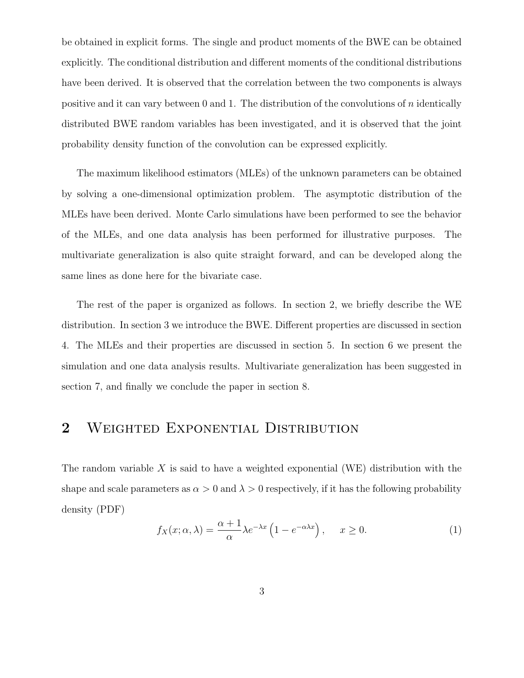be obtained in explicit forms. The single and product moments of the BWE can be obtained explicitly. The conditional distribution and different moments of the conditional distributions have been derived. It is observed that the correlation between the two components is always positive and it can vary between 0 and 1. The distribution of the convolutions of n identically distributed BWE random variables has been investigated, and it is observed that the joint probability density function of the convolution can be expressed explicitly.

The maximum likelihood estimators (MLEs) of the unknown parameters can be obtained by solving a one-dimensional optimization problem. The asymptotic distribution of the MLEs have been derived. Monte Carlo simulations have been performed to see the behavior of the MLEs, and one data analysis has been performed for illustrative purposes. The multivariate generalization is also quite straight forward, and can be developed along the same lines as done here for the bivariate case.

The rest of the paper is organized as follows. In section 2, we briefly describe the WE distribution. In section 3 we introduce the BWE. Different properties are discussed in section 4. The MLEs and their properties are discussed in section 5. In section 6 we present the simulation and one data analysis results. Multivariate generalization has been suggested in section 7, and finally we conclude the paper in section 8.

## 2 WEIGHTED EXPONENTIAL DISTRIBUTION

The random variable X is said to have a weighted exponential (WE) distribution with the shape and scale parameters as  $\alpha > 0$  and  $\lambda > 0$  respectively, if it has the following probability density (PDF)

$$
f_X(x; \alpha, \lambda) = \frac{\alpha + 1}{\alpha} \lambda e^{-\lambda x} \left( 1 - e^{-\alpha \lambda x} \right), \quad x \ge 0.
$$
 (1)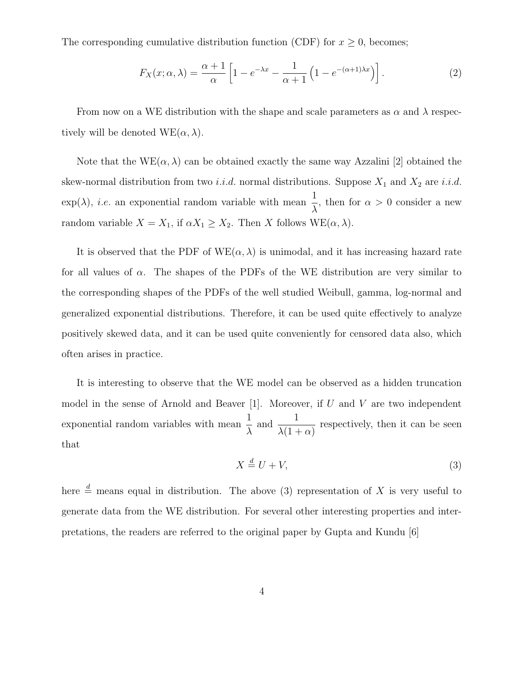The corresponding cumulative distribution function (CDF) for  $x \geq 0$ , becomes;

$$
F_X(x; \alpha, \lambda) = \frac{\alpha + 1}{\alpha} \left[ 1 - e^{-\lambda x} - \frac{1}{\alpha + 1} \left( 1 - e^{-(\alpha + 1)\lambda x} \right) \right].
$$
 (2)

From now on a WE distribution with the shape and scale parameters as  $\alpha$  and  $\lambda$  respectively will be denoted  $WE(\alpha, \lambda)$ .

Note that the  $WE(\alpha, \lambda)$  can be obtained exactly the same way Azzalini [2] obtained the skew-normal distribution from two *i.i.d.* normal distributions. Suppose  $X_1$  and  $X_2$  are *i.i.d.*  $\exp(\lambda)$ , *i.e.* an exponential random variable with mean  $\frac{1}{\lambda}$  $\frac{1}{\lambda}$ , then for  $\alpha > 0$  consider a new random variable  $X = X_1$ , if  $\alpha X_1 \geq X_2$ . Then X follows WE( $\alpha, \lambda$ ).

It is observed that the PDF of  $WE(\alpha, \lambda)$  is unimodal, and it has increasing hazard rate for all values of  $\alpha$ . The shapes of the PDFs of the WE distribution are very similar to the corresponding shapes of the PDFs of the well studied Weibull, gamma, log-normal and generalized exponential distributions. Therefore, it can be used quite effectively to analyze positively skewed data, and it can be used quite conveniently for censored data also, which often arises in practice.

It is interesting to observe that the WE model can be observed as a hidden truncation model in the sense of Arnold and Beaver [1]. Moreover, if  $U$  and  $V$  are two independent exponential random variables with mean 1  $\frac{1}{\lambda}$  and  $\frac{1}{\lambda(1-\lambda)}$  $\frac{1}{\lambda(1+\alpha)}$  respectively, then it can be seen that

$$
X \stackrel{d}{=} U + V,\tag{3}
$$

here  $\stackrel{d}{=}$  means equal in distribution. The above (3) representation of X is very useful to generate data from the WE distribution. For several other interesting properties and interpretations, the readers are referred to the original paper by Gupta and Kundu [6]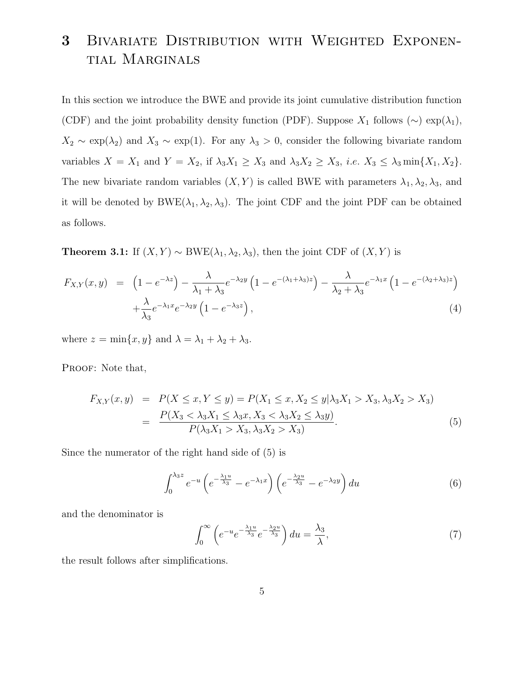# 3 Bivariate Distribution with Weighted Exponential Marginals

In this section we introduce the BWE and provide its joint cumulative distribution function (CDF) and the joint probability density function (PDF). Suppose  $X_1$  follows (∼) exp( $\lambda_1$ ),  $X_2 \sim \exp(\lambda_2)$  and  $X_3 \sim \exp(1)$ . For any  $\lambda_3 > 0$ , consider the following bivariate random variables  $X = X_1$  and  $Y = X_2$ , if  $\lambda_3 X_1 \ge X_3$  and  $\lambda_3 X_2 \ge X_3$ , *i.e.*  $X_3 \le \lambda_3 \min\{X_1, X_2\}$ . The new bivariate random variables  $(X, Y)$  is called BWE with parameters  $\lambda_1, \lambda_2, \lambda_3$ , and it will be denoted by  $BWE(\lambda_1, \lambda_2, \lambda_3)$ . The joint CDF and the joint PDF can be obtained as follows.

**Theorem 3.1:** If  $(X, Y) \sim BWE(\lambda_1, \lambda_2, \lambda_3)$ , then the joint CDF of  $(X, Y)$  is

$$
F_{X,Y}(x,y) = \left(1 - e^{-\lambda z}\right) - \frac{\lambda}{\lambda_1 + \lambda_3} e^{-\lambda_2 y} \left(1 - e^{-(\lambda_1 + \lambda_3)z}\right) - \frac{\lambda}{\lambda_2 + \lambda_3} e^{-\lambda_1 x} \left(1 - e^{-(\lambda_2 + \lambda_3)z}\right) + \frac{\lambda}{\lambda_3} e^{-\lambda_1 x} e^{-\lambda_2 y} \left(1 - e^{-\lambda_3 z}\right),\tag{4}
$$

where  $z = \min\{x, y\}$  and  $\lambda = \lambda_1 + \lambda_2 + \lambda_3$ .

PROOF: Note that,

$$
F_{X,Y}(x,y) = P(X \le x, Y \le y) = P(X_1 \le x, X_2 \le y | \lambda_3 X_1 > X_3, \lambda_3 X_2 > X_3)
$$
  
= 
$$
\frac{P(X_3 < \lambda_3 X_1 \le \lambda_3 x, X_3 < \lambda_3 X_2 \le \lambda_3 y)}{P(\lambda_3 X_1 > X_3, \lambda_3 X_2 > X_3)}.
$$
 (5)

Since the numerator of the right hand side of (5) is

$$
\int_0^{\lambda_3 z} e^{-u} \left( e^{-\frac{\lambda_1 u}{\lambda_3}} - e^{-\lambda_1 x} \right) \left( e^{-\frac{\lambda_2 u}{\lambda_3}} - e^{-\lambda_2 y} \right) du \tag{6}
$$

and the denominator is

$$
\int_0^\infty \left( e^{-u} e^{-\frac{\lambda_1 u}{\lambda_3}} e^{-\frac{\lambda_2 u}{\lambda_3}} \right) du = \frac{\lambda_3}{\lambda},\tag{7}
$$

the result follows after simplifications.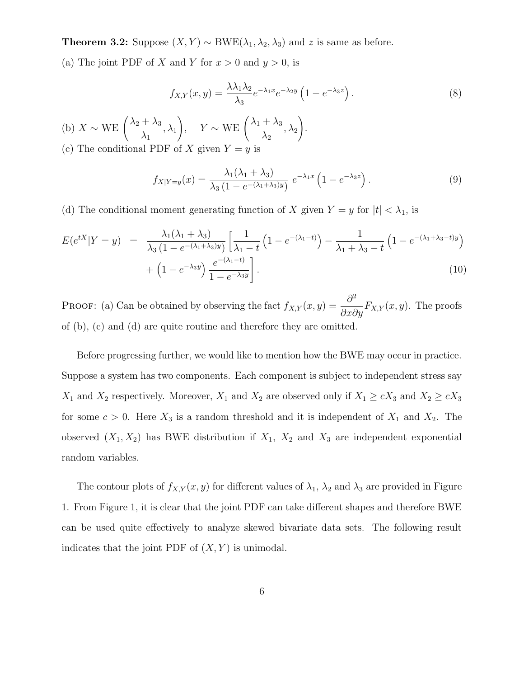**Theorem 3.2:** Suppose  $(X, Y)$  ∼ BWE( $\lambda_1, \lambda_2, \lambda_3$ ) and z is same as before.

(a) The joint PDF of X and Y for  $x > 0$  and  $y > 0$ , is

$$
f_{X,Y}(x,y) = \frac{\lambda \lambda_1 \lambda_2}{\lambda_3} e^{-\lambda_1 x} e^{-\lambda_2 y} \left( 1 - e^{-\lambda_3 z} \right). \tag{8}
$$

(b)  $X \sim \text{WE} \left( \frac{\lambda_2 + \lambda_3}{\lambda_1} \right)$  $\lambda_1$  $, \lambda_1$  $\bigg), \quad Y \sim \text{WE} \left( \frac{\lambda_1 + \lambda_3}{\lambda_2} \right)$  $\lambda_2$  $,\lambda_2$ ! . (c) The conditional PDF of X given  $Y = y$  is

$$
f_{X|Y=y}(x) = \frac{\lambda_1(\lambda_1 + \lambda_3)}{\lambda_3(1 - e^{-(\lambda_1 + \lambda_3)y})} e^{-\lambda_1 x} \left(1 - e^{-\lambda_3 z}\right).
$$
 (9)

(d) The conditional moment generating function of X given  $Y = y$  for  $|t| < \lambda_1$ , is

$$
E(e^{tX}|Y=y) = \frac{\lambda_1(\lambda_1 + \lambda_3)}{\lambda_3 (1 - e^{-(\lambda_1 + \lambda_3)y})} \left[ \frac{1}{\lambda_1 - t} \left( 1 - e^{-(\lambda_1 - t)} \right) - \frac{1}{\lambda_1 + \lambda_3 - t} \left( 1 - e^{-(\lambda_1 + \lambda_3 - t)y} \right) + \left( 1 - e^{-\lambda_3 y} \right) \frac{e^{-(\lambda_1 - t)}}{1 - e^{-\lambda_3 y}} \right].
$$
\n(10)

**PROOF:** (a) Can be obtained by observing the fact  $f_{X,Y}(x, y) = \frac{\partial^2 f}{\partial x \partial y}$  $\frac{\partial}{\partial x \partial y} F_{X,Y}(x, y)$ . The proofs of (b), (c) and (d) are quite routine and therefore they are omitted.

Before progressing further, we would like to mention how the BWE may occur in practice. Suppose a system has two components. Each component is subject to independent stress say  $X_1$  and  $X_2$  respectively. Moreover,  $X_1$  and  $X_2$  are observed only if  $X_1 \ge cX_3$  and  $X_2 \ge cX_3$ for some  $c > 0$ . Here  $X_3$  is a random threshold and it is independent of  $X_1$  and  $X_2$ . The observed  $(X_1, X_2)$  has BWE distribution if  $X_1, X_2$  and  $X_3$  are independent exponential random variables.

The contour plots of  $f_{X,Y}(x, y)$  for different values of  $\lambda_1$ ,  $\lambda_2$  and  $\lambda_3$  are provided in Figure 1. From Figure 1, it is clear that the joint PDF can take different shapes and therefore BWE can be used quite effectively to analyze skewed bivariate data sets. The following result indicates that the joint PDF of  $(X, Y)$  is unimodal.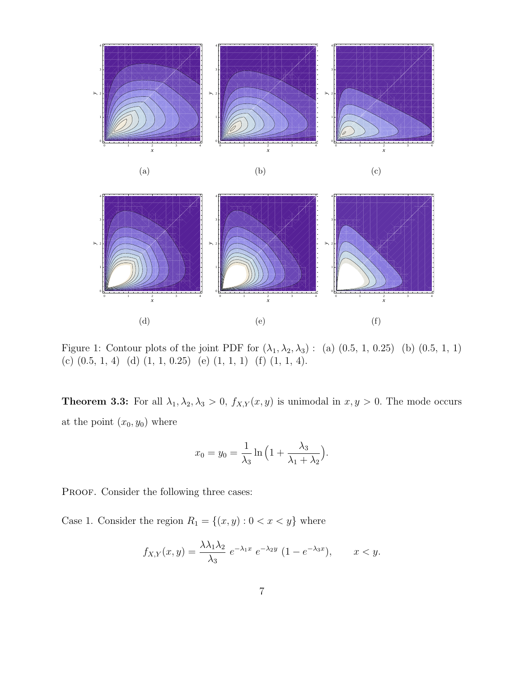

3 4 *y* 3 4 *y*



Figure 1: Contour plots of the joint PDF for  $(\lambda_1, \lambda_2, \lambda_3)$ : (a)  $(0.5, 1, 0.25)$  (b)  $(0.5, 1, 1)$ (c) (0.5, 1, 4) (d) (1, 1, 0.25) (e) (1, 1, 1) (f) (1, 1, 4).

**Theorem 3.3:** For all  $\lambda_1, \lambda_2, \lambda_3 > 0$ ,  $f_{X,Y}(x, y)$  is unimodal in  $x, y > 0$ . The mode occurs at the point  $(x_0, y_0)$  where

$$
x_0 = y_0 = \frac{1}{\lambda_3} \ln \left( 1 + \frac{\lambda_3}{\lambda_1 + \lambda_2} \right).
$$

PROOF. Consider the following three cases:

4

*y*

Case 1. Consider the region  $R_1 = \{(x, y) : 0 < x < y\}$  where

$$
f_{X,Y}(x,y) = \frac{\lambda \lambda_1 \lambda_2}{\lambda_3} e^{-\lambda_1 x} e^{-\lambda_2 y} (1 - e^{-\lambda_3 x}), \qquad x < y.
$$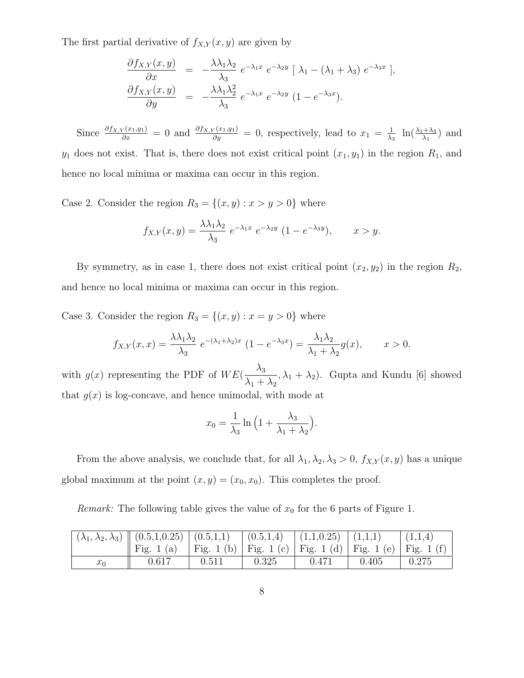The first partial derivative of  $f_{X,Y}(x, y)$  are given by

$$
\frac{\partial f_{X,Y}(x,y)}{\partial x} = -\frac{\lambda \lambda_1 \lambda_2}{\lambda_3} e^{-\lambda_1 x} e^{-\lambda_2 y} [\lambda_1 - (\lambda_1 + \lambda_3) e^{-\lambda_3 x}],
$$
  

$$
\frac{\partial f_{X,Y}(x,y)}{\partial y} = -\frac{\lambda \lambda_1 \lambda_2^2}{\lambda_3} e^{-\lambda_1 x} e^{-\lambda_2 y} (1 - e^{-\lambda_3 x}).
$$

Since  $\frac{\partial f_{X,Y}(x_1,y_1)}{\partial x} = 0$  and  $\frac{\partial f_{X,Y}(x_1,y_1)}{\partial y} = 0$ , respectively, lead to  $x_1 = \frac{1}{\lambda_1}$  $\frac{1}{\lambda_3}$   $\ln(\frac{\lambda_1+\lambda_3}{\lambda_1})$  and  $y_1$  does not exist. That is, there does not exist critical point  $(x_1, y_1)$  in the region  $R_1$ , and hence no local minima or maxima can occur in this region.

Case 2. Consider the region  $R_3 = \{(x, y) : x > y > 0\}$  where

$$
f_{X,Y}(x,y) = \frac{\lambda \lambda_1 \lambda_2}{\lambda_3} e^{-\lambda_1 x} e^{-\lambda_2 y} (1 - e^{-\lambda_3 y}), \qquad x > y.
$$

By symmetry, as in case 1, there does not exist critical point  $(x_2, y_2)$  in the region  $R_2$ , and hence no local minima or maxima can occur in this region.

Case 3. Consider the region  $R_3 = \{(x, y) : x = y > 0\}$  where

$$
f_{X,Y}(x,x) = \frac{\lambda \lambda_1 \lambda_2}{\lambda_3} e^{-(\lambda_1 + \lambda_2)x} (1 - e^{-\lambda_3 x}) = \frac{\lambda_1 \lambda_2}{\lambda_1 + \lambda_2} g(x), \qquad x > 0.
$$

with  $g(x)$  representing the PDF of  $WE(\frac{\lambda_3}{\lambda_4})$  $\lambda_1 + \lambda_2$  $(\lambda_1 + \lambda_2)$ . Gupta and Kundu [6] showed that  $q(x)$  is log-concave, and hence unimodal, with mode at

$$
x_0 = \frac{1}{\lambda_3} \ln \left( 1 + \frac{\lambda_3}{\lambda_1 + \lambda_2} \right).
$$

From the above analysis, we conclude that, for all  $\lambda_1, \lambda_2, \lambda_3 > 0$ ,  $f_{X,Y}(x, y)$  has a unique global maximum at the point  $(x, y) = (x_0, x_0)$ . This completes the proof.

*Remark:* The following table gives the value of  $x_0$  for the 6 parts of Figure 1.

|       | $(\lambda_1, \lambda_2, \lambda_3) \parallel (0.5, 1, 0.25) \parallel (0.5, 1, 1) \parallel (0.5, 1, 4) \parallel (1, 1, 0.25) \parallel (1, 1, 1)$ |                                                                |       |       |       |       |  |
|-------|-----------------------------------------------------------------------------------------------------------------------------------------------------|----------------------------------------------------------------|-------|-------|-------|-------|--|
|       | Fig. 1 (a)                                                                                                                                          | Fig. 1 (b)   Fig. 1 (c)   Fig. 1 (d)   Fig. 1 (e)   Fig. 1 (f) |       |       |       |       |  |
| $x_0$ | 0.617                                                                                                                                               | 0.511                                                          | 0.325 | 0.471 | 0.405 | 0.275 |  |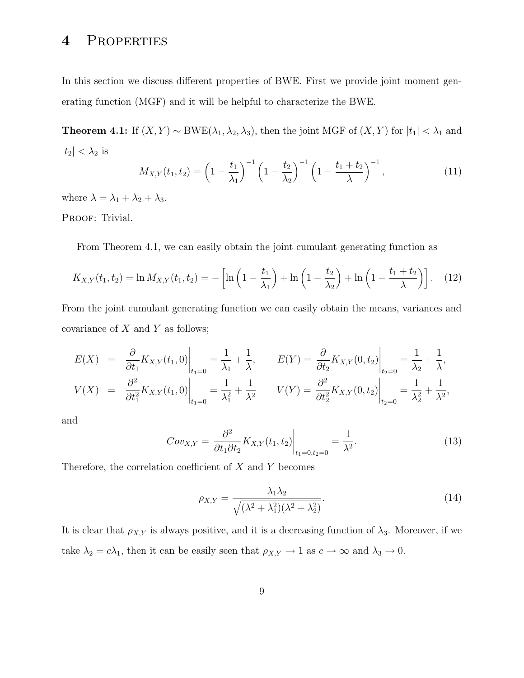# 4 Properties

In this section we discuss different properties of BWE. First we provide joint moment generating function (MGF) and it will be helpful to characterize the BWE.

**Theorem 4.1:** If  $(X, Y) \sim BWE(\lambda_1, \lambda_2, \lambda_3)$ , then the joint MGF of  $(X, Y)$  for  $|t_1| < \lambda_1$  and  $|t_2| < \lambda_2$  is

$$
M_{X,Y}(t_1, t_2) = \left(1 - \frac{t_1}{\lambda_1}\right)^{-1} \left(1 - \frac{t_2}{\lambda_2}\right)^{-1} \left(1 - \frac{t_1 + t_2}{\lambda}\right)^{-1},\tag{11}
$$

where  $\lambda = \lambda_1 + \lambda_2 + \lambda_3$ .

PROOF: Trivial.

From Theorem 4.1, we can easily obtain the joint cumulant generating function as

$$
K_{X,Y}(t_1, t_2) = \ln M_{X,Y}(t_1, t_2) = -\left[\ln\left(1 - \frac{t_1}{\lambda_1}\right) + \ln\left(1 - \frac{t_2}{\lambda_2}\right) + \ln\left(1 - \frac{t_1 + t_2}{\lambda}\right)\right].
$$
 (12)

From the joint cumulant generating function we can easily obtain the means, variances and covariance of  $X$  and  $Y$  as follows;

$$
E(X) = \frac{\partial}{\partial t_1} K_{X,Y}(t_1, 0) \Big|_{t_1=0} = \frac{1}{\lambda_1} + \frac{1}{\lambda}, \qquad E(Y) = \frac{\partial}{\partial t_2} K_{X,Y}(0, t_2) \Big|_{t_2=0} = \frac{1}{\lambda_2} + \frac{1}{\lambda},
$$
  

$$
V(X) = \frac{\partial^2}{\partial t_1^2} K_{X,Y}(t_1, 0) \Big|_{t_1=0} = \frac{1}{\lambda_1^2} + \frac{1}{\lambda^2} \qquad V(Y) = \frac{\partial^2}{\partial t_2^2} K_{X,Y}(0, t_2) \Big|_{t_2=0} = \frac{1}{\lambda_2^2} + \frac{1}{\lambda^2},
$$

and

$$
Cov_{X,Y} = \frac{\partial^2}{\partial t_1 \partial t_2} K_{X,Y}(t_1, t_2) \bigg|_{t_1 = 0, t_2 = 0} = \frac{1}{\lambda^2}.
$$
 (13)

Therefore, the correlation coefficient of  $X$  and  $Y$  becomes

$$
\rho_{X,Y} = \frac{\lambda_1 \lambda_2}{\sqrt{(\lambda^2 + \lambda_1^2)(\lambda^2 + \lambda_2^2)}}.
$$
\n(14)

It is clear that  $\rho_{X,Y}$  is always positive, and it is a decreasing function of  $\lambda_3$ . Moreover, if we take  $\lambda_2 = c\lambda_1$ , then it can be easily seen that  $\rho_{X,Y} \to 1$  as  $c \to \infty$  and  $\lambda_3 \to 0$ .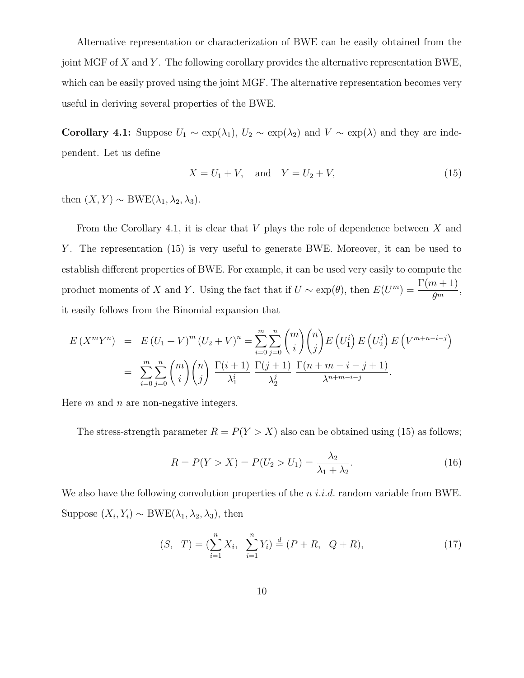Alternative representation or characterization of BWE can be easily obtained from the joint MGF of X and Y. The following corollary provides the alternative representation BWE, which can be easily proved using the joint MGF. The alternative representation becomes very useful in deriving several properties of the BWE.

Corollary 4.1: Suppose  $U_1 \sim \exp(\lambda_1)$ ,  $U_2 \sim \exp(\lambda_2)$  and  $V \sim \exp(\lambda)$  and they are independent. Let us define

$$
X = U_1 + V, \text{ and } Y = U_2 + V,
$$
 (15)

then  $(X, Y) \sim BWE(\lambda_1, \lambda_2, \lambda_3)$ .

From the Corollary 4.1, it is clear that  $V$  plays the role of dependence between  $X$  and Y. The representation (15) is very useful to generate BWE. Moreover, it can be used to establish different properties of BWE. For example, it can be used very easily to compute the product moments of X and Y. Using the fact that if  $U \sim \exp(\theta)$ , then  $E(U^m) = \frac{\Gamma(m+1)}{\theta^m}$  $\frac{\theta^{m-1}}{\theta^m},$ it easily follows from the Binomial expansion that

$$
E(X^m Y^n) = E(U_1 + V)^m (U_2 + V)^n = \sum_{i=0}^m \sum_{j=0}^n {m \choose i} {n \choose j} E(U_1^i) E(U_2^j) E(V^{m+n-i-j})
$$
  
= 
$$
\sum_{i=0}^m \sum_{j=0}^n {m \choose i} {n \choose j} \frac{\Gamma(i+1)}{\lambda_1^i} \frac{\Gamma(j+1)}{\lambda_2^j} \frac{\Gamma(n+m-i-j+1)}{\lambda^{n+m-i-j}}.
$$

Here  $m$  and  $n$  are non-negative integers.

The stress-strength parameter  $R = P(Y > X)$  also can be obtained using (15) as follows;

$$
R = P(Y > X) = P(U_2 > U_1) = \frac{\lambda_2}{\lambda_1 + \lambda_2}.
$$
\n(16)

We also have the following convolution properties of the  $n$  *i.i.d.* random variable from BWE. Suppose  $(X_i, Y_i) \sim BWE(\lambda_1, \lambda_2, \lambda_3)$ , then

$$
(S, T) = \left(\sum_{i=1}^{n} X_i, \sum_{i=1}^{n} Y_i\right) \stackrel{d}{=} (P + R, Q + R), \tag{17}
$$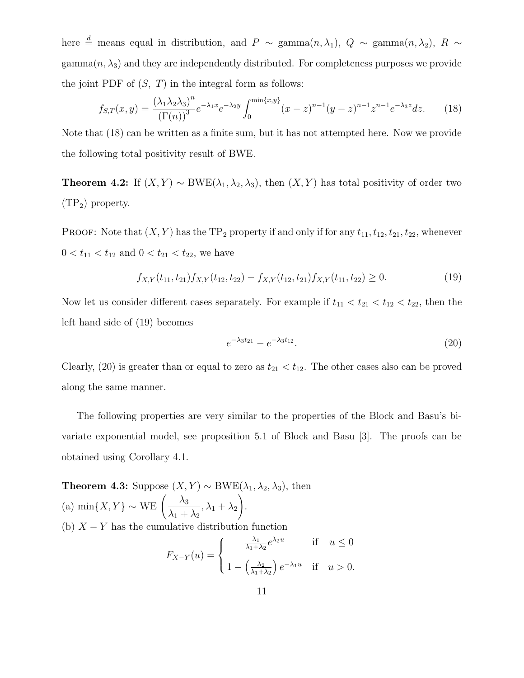here  $\stackrel{d}{=}$  means equal in distribution, and P ∼ gamma $(n, \lambda_1)$ , Q ∼ gamma $(n, \lambda_2)$ , R ∼  $\text{gamma}(n, \lambda_3)$  and they are independently distributed. For completeness purposes we provide the joint PDF of  $(S, T)$  in the integral form as follows:

$$
f_{S,T}(x,y) = \frac{(\lambda_1 \lambda_2 \lambda_3)^n}{(\Gamma(n))^3} e^{-\lambda_1 x} e^{-\lambda_2 y} \int_0^{\min\{x,y\}} (x-z)^{n-1} (y-z)^{n-1} z^{n-1} e^{-\lambda_3 z} dz.
$$
 (18)

Note that (18) can be written as a finite sum, but it has not attempted here. Now we provide the following total positivity result of BWE.

**Theorem 4.2:** If  $(X, Y) \sim BWE(\lambda_1, \lambda_2, \lambda_3)$ , then  $(X, Y)$  has total positivity of order two  $(TP_2)$  property.

PROOF: Note that  $(X, Y)$  has the TP<sub>2</sub> property if and only if for any  $t_{11}, t_{12}, t_{21}, t_{22}$ , whenever  $0 < t_{11} < t_{12}$  and  $0 < t_{21} < t_{22}$ , we have

$$
f_{X,Y}(t_{11}, t_{21})f_{X,Y}(t_{12}, t_{22}) - f_{X,Y}(t_{12}, t_{21})f_{X,Y}(t_{11}, t_{22}) \ge 0.
$$
 (19)

Now let us consider different cases separately. For example if  $t_{11} < t_{21} < t_{12} < t_{22}$ , then the left hand side of (19) becomes

$$
e^{-\lambda_3 t_{21}} - e^{-\lambda_3 t_{12}}.\t(20)
$$

Clearly, (20) is greater than or equal to zero as  $t_{21} < t_{12}$ . The other cases also can be proved along the same manner.

The following properties are very similar to the properties of the Block and Basu's bivariate exponential model, see proposition 5.1 of Block and Basu [3]. The proofs can be obtained using Corollary 4.1.

Theorem 4.3: Suppose  $(X, Y) \sim BWE(\lambda_1, \lambda_2, \lambda_3)$ , then (a) min{X, Y} ~ WE  $\left(\frac{\lambda_3}{\lambda_1 + \lambda_2}\right)$  $\lambda_1 + \lambda_2$  $, \lambda_1 + \lambda_2$ ! . (b)  $X - Y$  has the cumulative distribution function  $F_{X-Y}(u) =$  $\sqrt{ }$  $\int$  $\overline{1}$  $\lambda_1$  $\frac{\lambda_1}{\lambda_1 + \lambda_2} e^{\lambda_2 u}$  if  $u \leq 0$  $1-\left(\frac{\lambda_2}{\lambda_1+\lambda_2}\right)$  $\lambda_1+\lambda_2$  $\int e^{-\lambda_1 u}$  if  $u > 0$ .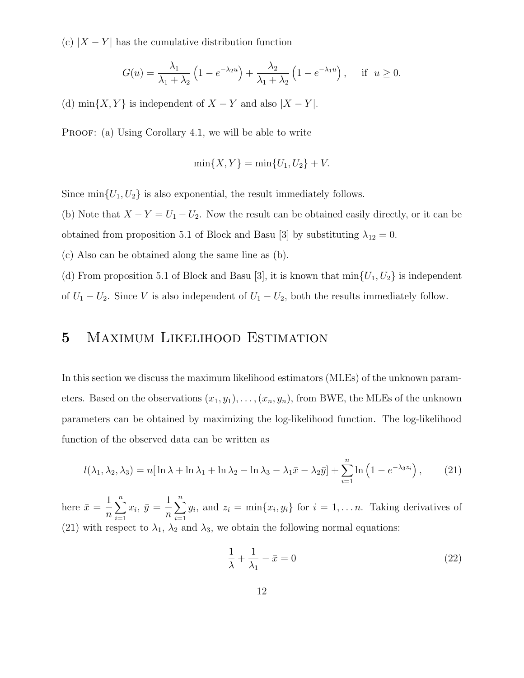(c)  $|X - Y|$  has the cumulative distribution function

$$
G(u) = \frac{\lambda_1}{\lambda_1 + \lambda_2} \left( 1 - e^{-\lambda_2 u} \right) + \frac{\lambda_2}{\lambda_1 + \lambda_2} \left( 1 - e^{-\lambda_1 u} \right), \quad \text{if } u \ge 0.
$$

(d) min $\{X, Y\}$  is independent of  $X - Y$  and also  $|X - Y|$ .

PROOF: (a) Using Corollary 4.1, we will be able to write

$$
\min\{X, Y\} = \min\{U_1, U_2\} + V.
$$

Since  $\min\{U_1, U_2\}$  is also exponential, the result immediately follows.

(b) Note that  $X - Y = U_1 - U_2$ . Now the result can be obtained easily directly, or it can be obtained from proposition 5.1 of Block and Basu [3] by substituting  $\lambda_{12} = 0$ .

(c) Also can be obtained along the same line as (b).

(d) From proposition 5.1 of Block and Basu [3], it is known that  $\min\{U_1, U_2\}$  is independent of  $U_1 - U_2$ . Since V is also independent of  $U_1 - U_2$ , both the results immediately follow.

# 5 Maximum Likelihood Estimation

In this section we discuss the maximum likelihood estimators (MLEs) of the unknown parameters. Based on the observations  $(x_1, y_1), \ldots, (x_n, y_n)$ , from BWE, the MLEs of the unknown parameters can be obtained by maximizing the log-likelihood function. The log-likelihood function of the observed data can be written as

$$
l(\lambda_1, \lambda_2, \lambda_3) = n[\ln \lambda + \ln \lambda_1 + \ln \lambda_2 - \ln \lambda_3 - \lambda_1 \bar{x} - \lambda_2 \bar{y}] + \sum_{i=1}^n \ln \left( 1 - e^{-\lambda_3 z_i} \right), \quad (21)
$$

here  $\bar{x} = \frac{1}{x}$  $\overline{n}$  $\sum_{n=1}^{\infty}$  $i=1$  $x_i, \bar{y} = \frac{1}{x}$  $\overline{n}$  $\sum_{n=1}^{\infty}$  $i=1$  $y_i$ , and  $z_i = \min\{x_i, y_i\}$  for  $i = 1, \ldots n$ . Taking derivatives of (21) with respect to  $\lambda_1$ ,  $\lambda_2$  and  $\lambda_3$ , we obtain the following normal equations:

$$
\frac{1}{\lambda} + \frac{1}{\lambda_1} - \bar{x} = 0 \tag{22}
$$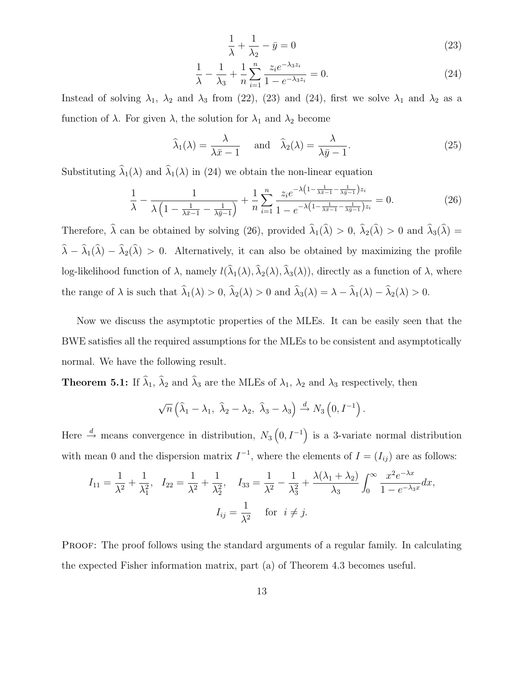$$
\frac{1}{\lambda} + \frac{1}{\lambda_2} - \bar{y} = 0\tag{23}
$$

$$
\frac{1}{\lambda} - \frac{1}{\lambda_3} + \frac{1}{n} \sum_{i=1}^{n} \frac{z_i e^{-\lambda_3 z_i}}{1 - e^{-\lambda_3 z_i}} = 0.
$$
 (24)

Instead of solving  $\lambda_1$ ,  $\lambda_2$  and  $\lambda_3$  from (22), (23) and (24), first we solve  $\lambda_1$  and  $\lambda_2$  as a function of  $\lambda$ . For given  $\lambda$ , the solution for  $\lambda_1$  and  $\lambda_2$  become

$$
\widehat{\lambda}_1(\lambda) = \frac{\lambda}{\lambda \bar{x} - 1} \quad \text{and} \quad \widehat{\lambda}_2(\lambda) = \frac{\lambda}{\lambda \bar{y} - 1}.
$$
 (25)

Substituting  $\hat{\lambda}_1(\lambda)$  and  $\hat{\lambda}_1(\lambda)$  in (24) we obtain the non-linear equation

$$
\frac{1}{\lambda} - \frac{1}{\lambda \left(1 - \frac{1}{\lambda \bar{x} - 1} - \frac{1}{\lambda \bar{y} - 1}\right)} + \frac{1}{n} \sum_{i=1}^{n} \frac{z_i e^{-\lambda \left(1 - \frac{1}{\lambda \bar{x} - 1} - \frac{1}{\lambda \bar{y} - 1}\right) z_i}}{1 - e^{-\lambda \left(1 - \frac{1}{\lambda \bar{x} - 1} - \frac{1}{\lambda \bar{y} - 1}\right) z_i}} = 0.
$$
 (26)

Therefore,  $\lambda$  can be obtained by solving (26), provided  $\lambda_1(\lambda) > 0$ ,  $\lambda_2(\lambda) > 0$  and  $\lambda_3(\lambda) =$  $\lambda - \lambda_1(\lambda) - \lambda_2(\lambda) > 0$ . Alternatively, it can also be obtained by maximizing the profile log-likelihood function of  $\lambda$ , namely  $l(\lambda_1(\lambda), \lambda_2(\lambda), \lambda_3(\lambda))$ , directly as a function of  $\lambda$ , where the range of  $\lambda$  is such that  $\widehat{\lambda}_1(\lambda) > 0$ ,  $\widehat{\lambda}_2(\lambda) > 0$  and  $\widehat{\lambda}_3(\lambda) = \lambda - \widehat{\lambda}_1(\lambda) - \widehat{\lambda}_2(\lambda) > 0$ .

Now we discuss the asymptotic properties of the MLEs. It can be easily seen that the BWE satisfies all the required assumptions for the MLEs to be consistent and asymptotically normal. We have the following result.

**Theorem 5.1:** If  $\lambda_1$ ,  $\lambda_2$  and  $\lambda_3$  are the MLEs of  $\lambda_1$ ,  $\lambda_2$  and  $\lambda_3$  respectively, then

$$
\sqrt{n}\left(\widehat{\lambda}_1-\lambda_1, \ \widehat{\lambda}_2-\lambda_2, \ \widehat{\lambda}_3-\lambda_3\right) \stackrel{d}{\rightarrow} N_3\left(0, I^{-1}\right).
$$

Here  $\stackrel{d}{\rightarrow}$  means convergence in distribution,  $N_3(0, I^{-1})$  is a 3-variate normal distribution with mean 0 and the dispersion matrix  $I^{-1}$ , where the elements of  $I = (I_{ij})$  are as follows:

$$
I_{11} = \frac{1}{\lambda^2} + \frac{1}{\lambda_1^2}, \quad I_{22} = \frac{1}{\lambda^2} + \frac{1}{\lambda_2^2}, \quad I_{33} = \frac{1}{\lambda^2} - \frac{1}{\lambda_3^2} + \frac{\lambda(\lambda_1 + \lambda_2)}{\lambda_3} \int_0^\infty \frac{x^2 e^{-\lambda x}}{1 - e^{-\lambda_3 x}} dx,
$$

$$
I_{ij} = \frac{1}{\lambda^2} \quad \text{for} \quad i \neq j.
$$

PROOF: The proof follows using the standard arguments of a regular family. In calculating the expected Fisher information matrix, part (a) of Theorem 4.3 becomes useful.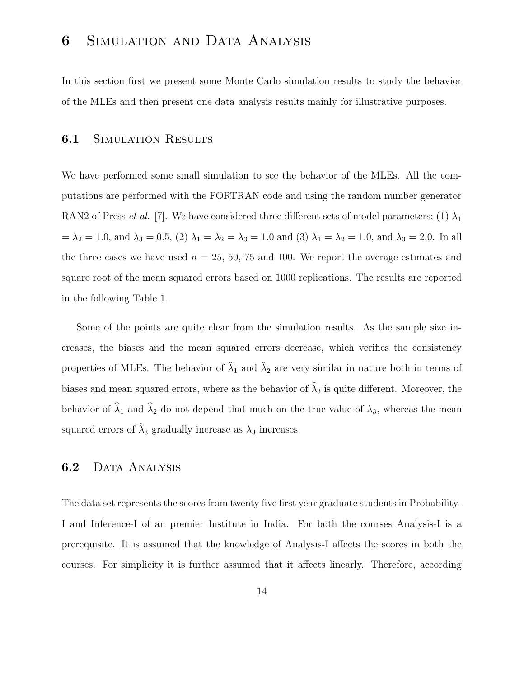# 6 Simulation and Data Analysis

In this section first we present some Monte Carlo simulation results to study the behavior of the MLEs and then present one data analysis results mainly for illustrative purposes.

#### **6.1 SIMULATION RESULTS**

We have performed some small simulation to see the behavior of the MLEs. All the computations are performed with the FORTRAN code and using the random number generator RAN2 of Press *et al.* [7]. We have considered three different sets of model parameters; (1)  $\lambda_1$  $= \lambda_2 = 1.0$ , and  $\lambda_3 = 0.5$ , (2)  $\lambda_1 = \lambda_2 = \lambda_3 = 1.0$  and (3)  $\lambda_1 = \lambda_2 = 1.0$ , and  $\lambda_3 = 2.0$ . In all the three cases we have used  $n = 25, 50, 75$  and 100. We report the average estimates and square root of the mean squared errors based on 1000 replications. The results are reported in the following Table 1.

Some of the points are quite clear from the simulation results. As the sample size increases, the biases and the mean squared errors decrease, which verifies the consistency properties of MLEs. The behavior of  $\hat{\lambda}_1$  and  $\hat{\lambda}_2$  are very similar in nature both in terms of biases and mean squared errors, where as the behavior of  $\hat{\lambda}_3$  is quite different. Moreover, the behavior of  $\hat{\lambda}_1$  and  $\hat{\lambda}_2$  do not depend that much on the true value of  $\lambda_3$ , whereas the mean squared errors of  $\hat{\lambda}_3$  gradually increase as  $\lambda_3$  increases.

#### 6.2 DATA ANALYSIS

The data set represents the scores from twenty five first year graduate students in Probability-I and Inference-I of an premier Institute in India. For both the courses Analysis-I is a prerequisite. It is assumed that the knowledge of Analysis-I affects the scores in both the courses. For simplicity it is further assumed that it affects linearly. Therefore, according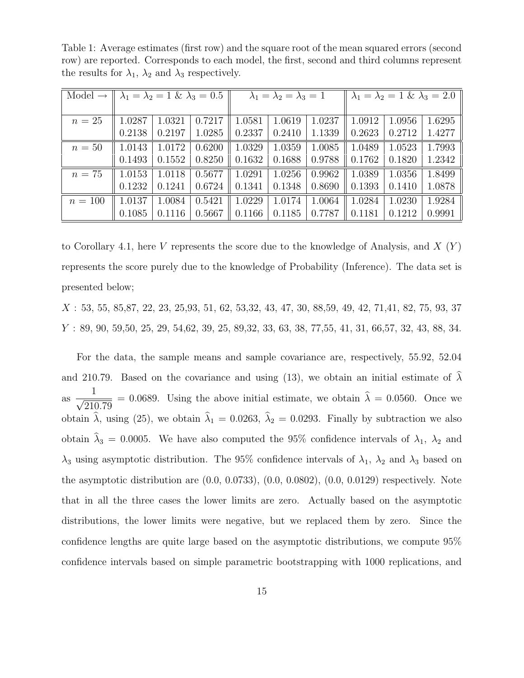Table 1: Average estimates (first row) and the square root of the mean squared errors (second row) are reported. Corresponds to each model, the first, second and third columns represent the results for  $\lambda_1$ ,  $\lambda_2$  and  $\lambda_3$  respectively.

| Model $\rightarrow$ | $\lambda_1 = \lambda_2 = 1 \& \lambda_3 = 0.5$ |        |        | $\lambda_1 = \lambda_2 = \lambda_3 = 1$ |        |        | $\lambda_1 = \lambda_2 = 1 \& \lambda_3 = 2.0$ |        |        |
|---------------------|------------------------------------------------|--------|--------|-----------------------------------------|--------|--------|------------------------------------------------|--------|--------|
|                     |                                                |        |        |                                         |        |        |                                                |        |        |
| $n=25$              | 1.0287                                         | 1.0321 | 0.7217 | 1.0581                                  | 1.0619 | 1.0237 | 1.0912                                         | 1.0956 | 1.6295 |
|                     | 0.2138                                         | 0.2197 | 1.0285 | 0.2337                                  | 0.2410 | 1.1339 | 0.2623                                         | 0.2712 | 1.4277 |
| $n=50$              | 1.0143                                         | 1.0172 | 0.6200 | 1.0329                                  | 1.0359 | 1.0085 | 1.0489                                         | 1.0523 | 1.7993 |
|                     | 0.1493                                         | 0.1552 | 0.8250 | 0.1632                                  | 0.1688 | 0.9788 | 0.1762                                         | 0.1820 | 1.2342 |
| $n=75$              | 1.0153                                         | 1.0118 | 0.5677 | 1.0291                                  | 1.0256 | 0.9962 | 1.0389                                         | 1.0356 | 1.8499 |
|                     | 0.1232                                         | 0.1241 | 0.6724 | 0.1341                                  | 0.1348 | 0.8690 | 0.1393                                         | 0.1410 | 1.0878 |
| $n = 100$           | 1.0137                                         | 1.0084 | 0.5421 | 1.0229                                  | 1.0174 | 1.0064 | 1.0284                                         | 1.0230 | 1.9284 |
|                     | 0.1085                                         | 0.1116 | 0.5667 | 0.1166                                  | 0.1185 | 0.7787 | 0.1181                                         | 0.1212 | 0.9991 |

to Corollary 4.1, here V represents the score due to the knowledge of Analysis, and  $X(Y)$ represents the score purely due to the knowledge of Probability (Inference). The data set is presented below;

X : 53, 55, 85,87, 22, 23, 25,93, 51, 62, 53,32, 43, 47, 30, 88,59, 49, 42, 71,41, 82, 75, 93, 37 Y : 89, 90, 59,50, 25, 29, 54,62, 39, 25, 89,32, 33, 63, 38, 77,55, 41, 31, 66,57, 32, 43, 88, 34.

For the data, the sample means and sample covariance are, respectively, 55.92, 52.04 and 210.79. Based on the covariance and using (13), we obtain an initial estimate of  $\lambda$ as 1  $\sqrt{210.79}$  $= 0.0689$ . Using the above initial estimate, we obtain  $\lambda = 0.0560$ . Once we obtain  $\hat{\lambda}$ , using (25), we obtain  $\hat{\lambda}_1 = 0.0263$ ,  $\hat{\lambda}_2 = 0.0293$ . Finally by subtraction we also obtain  $\hat{\lambda}_3 = 0.0005$ . We have also computed the 95% confidence intervals of  $\lambda_1$ ,  $\lambda_2$  and  $\lambda_3$  using asymptotic distribution. The 95% confidence intervals of  $\lambda_1$ ,  $\lambda_2$  and  $\lambda_3$  based on the asymptotic distribution are (0.0, 0.0733), (0.0, 0.0802), (0.0, 0.0129) respectively. Note that in all the three cases the lower limits are zero. Actually based on the asymptotic distributions, the lower limits were negative, but we replaced them by zero. Since the confidence lengths are quite large based on the asymptotic distributions, we compute 95% confidence intervals based on simple parametric bootstrapping with 1000 replications, and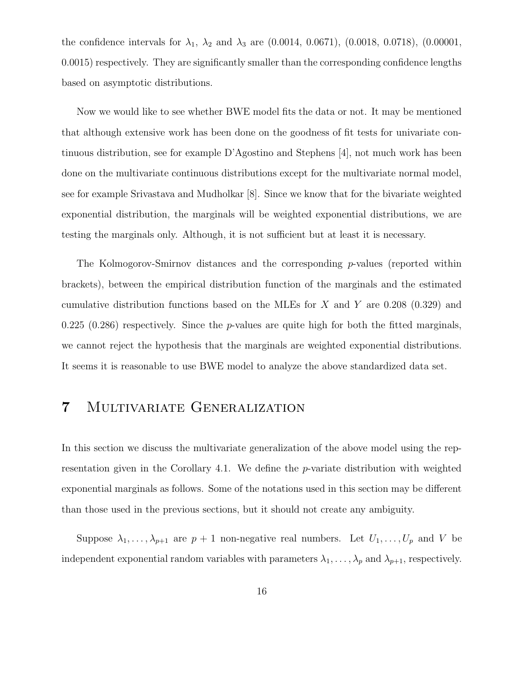the confidence intervals for  $\lambda_1$ ,  $\lambda_2$  and  $\lambda_3$  are (0.0014, 0.0671), (0.0018, 0.0718), (0.00001, 0.0015) respectively. They are significantly smaller than the corresponding confidence lengths based on asymptotic distributions.

Now we would like to see whether BWE model fits the data or not. It may be mentioned that although extensive work has been done on the goodness of fit tests for univariate continuous distribution, see for example D'Agostino and Stephens [4], not much work has been done on the multivariate continuous distributions except for the multivariate normal model, see for example Srivastava and Mudholkar [8]. Since we know that for the bivariate weighted exponential distribution, the marginals will be weighted exponential distributions, we are testing the marginals only. Although, it is not sufficient but at least it is necessary.

The Kolmogorov-Smirnov distances and the corresponding  $p$ -values (reported within brackets), between the empirical distribution function of the marginals and the estimated cumulative distribution functions based on the MLEs for X and Y are  $0.208$  (0.329) and 0.225 (0.286) respectively. Since the  $p$ -values are quite high for both the fitted marginals, we cannot reject the hypothesis that the marginals are weighted exponential distributions. It seems it is reasonable to use BWE model to analyze the above standardized data set.

# 7 Multivariate Generalization

In this section we discuss the multivariate generalization of the above model using the representation given in the Corollary 4.1. We define the  $p$ -variate distribution with weighted exponential marginals as follows. Some of the notations used in this section may be different than those used in the previous sections, but it should not create any ambiguity.

Suppose  $\lambda_1, \ldots, \lambda_{p+1}$  are  $p+1$  non-negative real numbers. Let  $U_1, \ldots, U_p$  and V be independent exponential random variables with parameters  $\lambda_1, \ldots, \lambda_p$  and  $\lambda_{p+1}$ , respectively.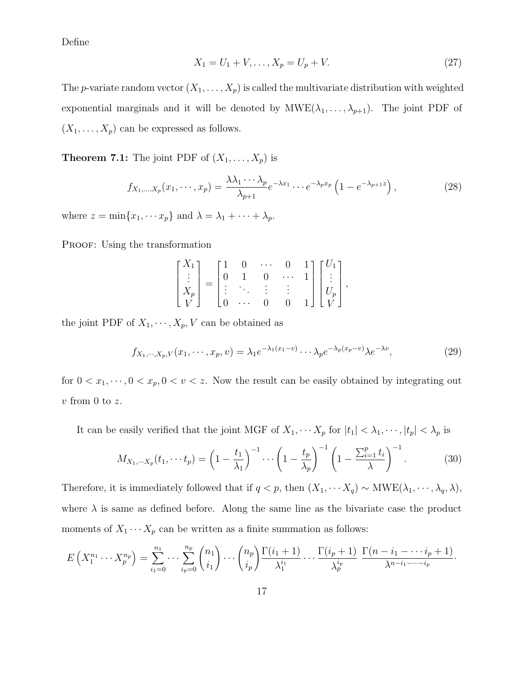Define

$$
X_1 = U_1 + V, \dots, X_p = U_p + V. \tag{27}
$$

The p-variate random vector  $(X_1, \ldots, X_p)$  is called the multivariate distribution with weighted exponential marginals and it will be denoted by  $MWE(\lambda_1, \ldots, \lambda_{p+1})$ . The joint PDF of  $(X_1, \ldots, X_p)$  can be expressed as follows.

**Theorem 7.1:** The joint PDF of  $(X_1, \ldots, X_p)$  is

$$
f_{X_1,\ldots,X_p}(x_1,\cdots,x_p) = \frac{\lambda \lambda_1 \cdots \lambda_p}{\lambda_{p+1}} e^{-\lambda x_1} \cdots e^{-\lambda_p x_p} \left(1 - e^{-\lambda_{p+1} z}\right),\tag{28}
$$

where  $z = \min\{x_1, \dots x_p\}$  and  $\lambda = \lambda_1 + \dots + \lambda_p$ .

PROOF: Using the transformation

$$
\begin{bmatrix} X_1 \\ \vdots \\ X_p \\ V \end{bmatrix} = \begin{bmatrix} 1 & 0 & \cdots & 0 & 1 \\ 0 & 1 & 0 & \cdots & 1 \\ \vdots & \ddots & \vdots & \vdots & \vdots \\ 0 & \cdots & 0 & 0 & 1 \end{bmatrix} \begin{bmatrix} U_1 \\ \vdots \\ U_p \\ V \end{bmatrix},
$$

the joint PDF of  $X_1, \dots, X_p, V$  can be obtained as

$$
f_{X_1,\cdots,X_p,V}(x_1,\cdots,x_p,v) = \lambda_1 e^{-\lambda_1(x_1-v)} \cdots \lambda_p e^{-\lambda_p(x_p-v)} \lambda e^{-\lambda v},\tag{29}
$$

for  $0 < x_1, \dots, 0 < x_p, 0 < v < z$ . Now the result can be easily obtained by integrating out  $v$  from 0 to  $z$ .

It can be easily verified that the joint MGF of  $X_1, \cdots X_p$  for  $|t_1| < \lambda_1, \cdots, |t_p| < \lambda_p$  is

$$
M_{X_1, \cdots X_p}(t_1, \cdots t_p) = \left(1 - \frac{t_1}{\lambda_1}\right)^{-1} \cdots \left(1 - \frac{t_p}{\lambda_p}\right)^{-1} \left(1 - \frac{\sum_{i=1}^p t_i}{\lambda}\right)^{-1}.
$$
 (30)

Therefore, it is immediately followed that if  $q < p$ , then  $(X_1, \dots, X_q) \sim \text{MWE}(\lambda_1, \dots, \lambda_q, \lambda)$ , where  $\lambda$  is same as defined before. Along the same line as the bivariate case the product moments of  $X_1 \cdots X_p$  can be written as a finite summation as follows:

$$
E\left(X_1^{n_1}\cdots X_p^{n_p}\right)=\sum_{i_1=0}^{n_1}\cdots\sum_{i_p=0}^{n_p}\binom{n_1}{i_1}\cdots\binom{n_p}{i_p}\frac{\Gamma(i_1+1)}{\lambda_1^{i_1}}\cdots\frac{\Gamma(i_p+1)}{\lambda_p^{i_p}}\frac{\Gamma(n-i_1-\cdots i_p+1)}{\lambda^{n-i_1-\cdots-i_p}}.
$$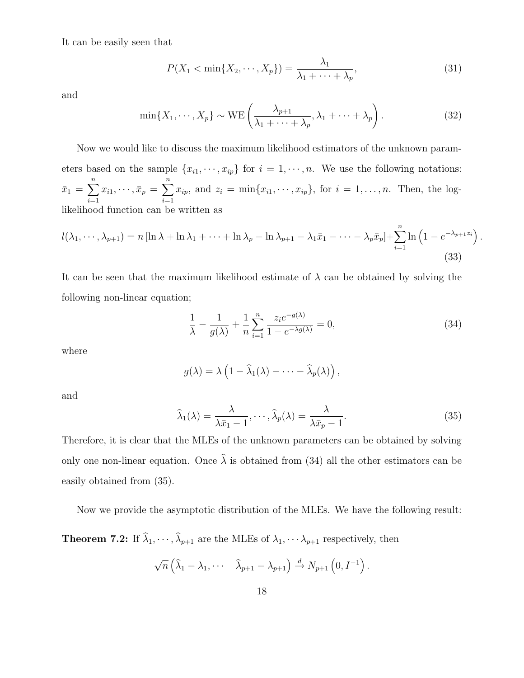It can be easily seen that

$$
P(X_1 < \min\{X_2, \cdots, X_p\}) = \frac{\lambda_1}{\lambda_1 + \cdots + \lambda_p},\tag{31}
$$

and

$$
\min\{X_1, \cdots, X_p\} \sim \text{WE}\left(\frac{\lambda_{p+1}}{\lambda_1 + \cdots + \lambda_p}, \lambda_1 + \cdots + \lambda_p\right). \tag{32}
$$

Now we would like to discuss the maximum likelihood estimators of the unknown parameters based on the sample  $\{x_{i1}, \dots, x_{ip}\}$  for  $i = 1, \dots, n$ . We use the following notations:  $\bar{x}_1 = \sum^n$  $\sum_{i=1} x_{i1}, \cdots, \bar{x}_p =$  $\sum_{n=1}^{\infty}$  $\sum_{i=1} x_{ip}$ , and  $z_i = \min\{x_{i1}, \dots, x_{ip}\}$ , for  $i = 1, \dots, n$ . Then, the loglikelihood function can be written as

$$
l(\lambda_1, \cdots, \lambda_{p+1}) = n \left[ \ln \lambda + \ln \lambda_1 + \cdots + \ln \lambda_p - \ln \lambda_{p+1} - \lambda_1 \bar{x}_1 - \cdots - \lambda_p \bar{x}_p \right] + \sum_{i=1}^n \ln \left( 1 - e^{-\lambda_{p+1} z_i} \right).
$$
\n(33)

It can be seen that the maximum likelihood estimate of  $\lambda$  can be obtained by solving the following non-linear equation;

$$
\frac{1}{\lambda} - \frac{1}{g(\lambda)} + \frac{1}{n} \sum_{i=1}^{n} \frac{z_i e^{-g(\lambda)}}{1 - e^{-\lambda g(\lambda)}} = 0,
$$
\n(34)

where

$$
g(\lambda) = \lambda \left(1 - \widehat{\lambda}_1(\lambda) - \cdots - \widehat{\lambda}_p(\lambda)\right),
$$

and

$$
\widehat{\lambda}_1(\lambda) = \frac{\lambda}{\lambda \bar{x}_1 - 1}, \cdots, \widehat{\lambda}_p(\lambda) = \frac{\lambda}{\lambda \bar{x}_p - 1}.
$$
\n(35)

Therefore, it is clear that the MLEs of the unknown parameters can be obtained by solving only one non-linear equation. Once  $\hat{\lambda}$  is obtained from (34) all the other estimators can be easily obtained from (35).

Now we provide the asymptotic distribution of the MLEs. We have the following result:

**Theorem 7.2:** If  $\lambda_1, \dots, \lambda_{p+1}$  are the MLEs of  $\lambda_1, \dots, \lambda_{p+1}$  respectively, then

$$
\sqrt{n}\left(\widehat{\lambda}_1-\lambda_1,\cdots\widehat{\lambda}_{p+1}-\lambda_{p+1}\right)\stackrel{d}{\to}N_{p+1}\left(0,I^{-1}\right).
$$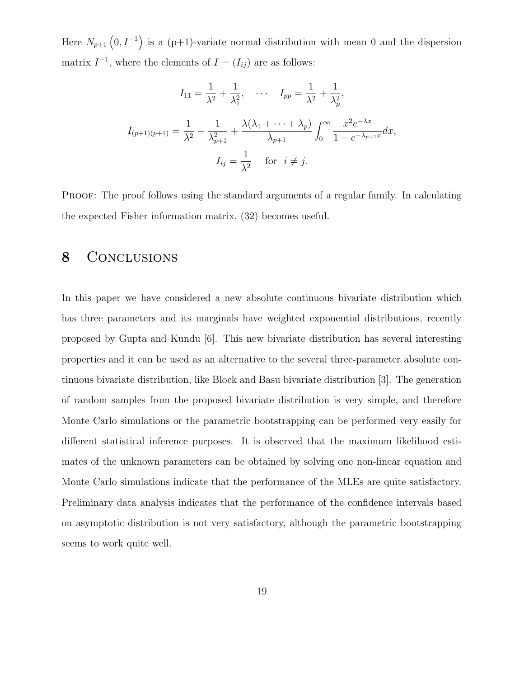Here  $N_{p+1}$   $(0, I^{-1})$  is a (p+1)-variate normal distribution with mean 0 and the dispersion matrix  $I^{-1}$ , where the elements of  $I = (I_{ij})$  are as follows:

$$
I_{11} = \frac{1}{\lambda^2} + \frac{1}{\lambda_1^2}, \quad \cdots \quad I_{pp} = \frac{1}{\lambda^2} + \frac{1}{\lambda_p^2},
$$

$$
I_{(p+1)(p+1)} = \frac{1}{\lambda^2} - \frac{1}{\lambda_{p+1}^2} + \frac{\lambda(\lambda_1 + \cdots + \lambda_p)}{\lambda_{p+1}} \int_0^\infty \frac{x^2 e^{-\lambda x}}{1 - e^{-\lambda_{p+1}x}} dx,
$$

$$
I_{ij} = \frac{1}{\lambda^2} \quad \text{for} \quad i \neq j.
$$

PROOF: The proof follows using the standard arguments of a regular family. In calculating the expected Fisher information matrix, (32) becomes useful.

### 8 CONCLUSIONS

In this paper we have considered a new absolute continuous bivariate distribution which has three parameters and its marginals have weighted exponential distributions, recently proposed by Gupta and Kundu [6]. This new bivariate distribution has several interesting properties and it can be used as an alternative to the several three-parameter absolute continuous bivariate distribution, like Block and Basu bivariate distribution [3]. The generation of random samples from the proposed bivariate distribution is very simple, and therefore Monte Carlo simulations or the parametric bootstrapping can be performed very easily for different statistical inference purposes. It is observed that the maximum likelihood estimates of the unknown parameters can be obtained by solving one non-linear equation and Monte Carlo simulations indicate that the performance of the MLEs are quite satisfactory. Preliminary data analysis indicates that the performance of the confidence intervals based on asymptotic distribution is not very satisfactory, although the parametric bootstrapping seems to work quite well.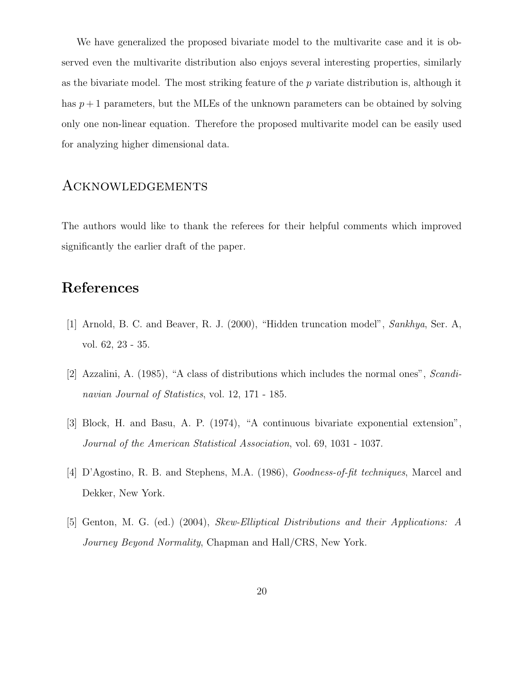We have generalized the proposed bivariate model to the multivarite case and it is observed even the multivarite distribution also enjoys several interesting properties, similarly as the bivariate model. The most striking feature of the  $p$  variate distribution is, although it has  $p+1$  parameters, but the MLEs of the unknown parameters can be obtained by solving only one non-linear equation. Therefore the proposed multivarite model can be easily used for analyzing higher dimensional data.

#### Acknowledgements

The authors would like to thank the referees for their helpful comments which improved significantly the earlier draft of the paper.

### References

- [1] Arnold, B. C. and Beaver, R. J. (2000), "Hidden truncation model", Sankhya, Ser. A, vol. 62, 23 - 35.
- [2] Azzalini, A. (1985), "A class of distributions which includes the normal ones", Scandinavian Journal of Statistics, vol. 12, 171 - 185.
- [3] Block, H. and Basu, A. P. (1974), "A continuous bivariate exponential extension", Journal of the American Statistical Association, vol. 69, 1031 - 1037.
- [4] D'Agostino, R. B. and Stephens, M.A. (1986), Goodness-of-fit techniques, Marcel and Dekker, New York.
- [5] Genton, M. G. (ed.) (2004), Skew-Elliptical Distributions and their Applications: A Journey Beyond Normality, Chapman and Hall/CRS, New York.